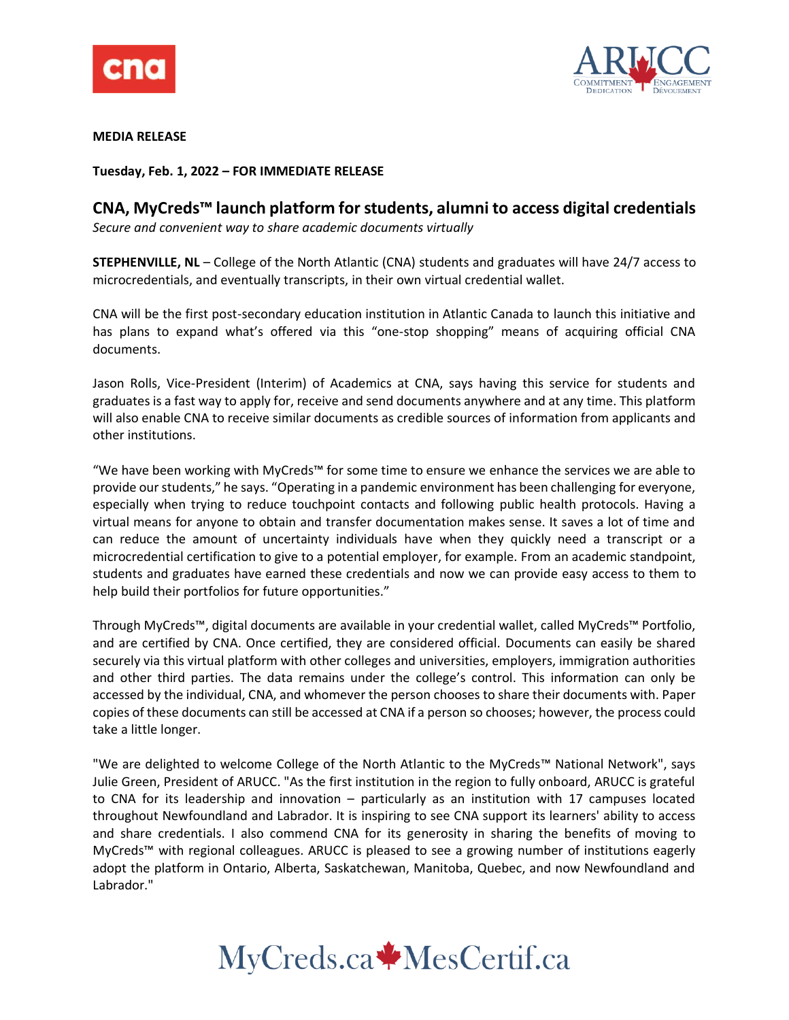



**MEDIA RELEASE**

**Tuesday, Feb. 1, 2022 – FOR IMMEDIATE RELEASE**

# **CNA, MyCreds™ launch platform for students, alumni to access digital credentials**

*Secure and convenient way to share academic documents virtually*

**STEPHENVILLE, NL** – College of the North Atlantic (CNA) students and graduates will have 24/7 access to microcredentials, and eventually transcripts, in their own virtual credential wallet.

CNA will be the first post-secondary education institution in Atlantic Canada to launch this initiative and has plans to expand what's offered via this "one-stop shopping" means of acquiring official CNA documents.

Jason Rolls, Vice-President (Interim) of Academics at CNA, says having this service for students and graduates is a fast way to apply for, receive and send documents anywhere and at any time. This platform will also enable CNA to receive similar documents as credible sources of information from applicants and other institutions.

"We have been working with MyCreds™ for some time to ensure we enhance the services we are able to provide our students," he says. "Operating in a pandemic environment has been challenging for everyone, especially when trying to reduce touchpoint contacts and following public health protocols. Having a virtual means for anyone to obtain and transfer documentation makes sense. It saves a lot of time and can reduce the amount of uncertainty individuals have when they quickly need a transcript or a microcredential certification to give to a potential employer, for example. From an academic standpoint, students and graduates have earned these credentials and now we can provide easy access to them to help build their portfolios for future opportunities."

Through MyCreds™, digital documents are available in your credential wallet, called MyCreds™ Portfolio, and are certified by CNA. Once certified, they are considered official. Documents can easily be shared securely via this virtual platform with other colleges and universities, employers, immigration authorities and other third parties. The data remains under the college's control. This information can only be accessed by the individual, CNA, and whomever the person chooses to share their documents with. Paper copies of these documents can still be accessed at CNA if a person so chooses; however, the process could take a little longer.

"We are delighted to welcome College of the North Atlantic to the MyCreds™ National Network", says Julie Green, President of ARUCC. "As the first institution in the region to fully onboard, ARUCC is grateful to CNA for its leadership and innovation – particularly as an institution with 17 campuses located throughout Newfoundland and Labrador. It is inspiring to see CNA support its learners' ability to access and share credentials. I also commend CNA for its generosity in sharing the benefits of moving to MyCreds™ with regional colleagues. ARUCC is pleased to see a growing number of institutions eagerly adopt the platform in Ontario, Alberta, Saskatchewan, Manitoba, Quebec, and now Newfoundland and Labrador."

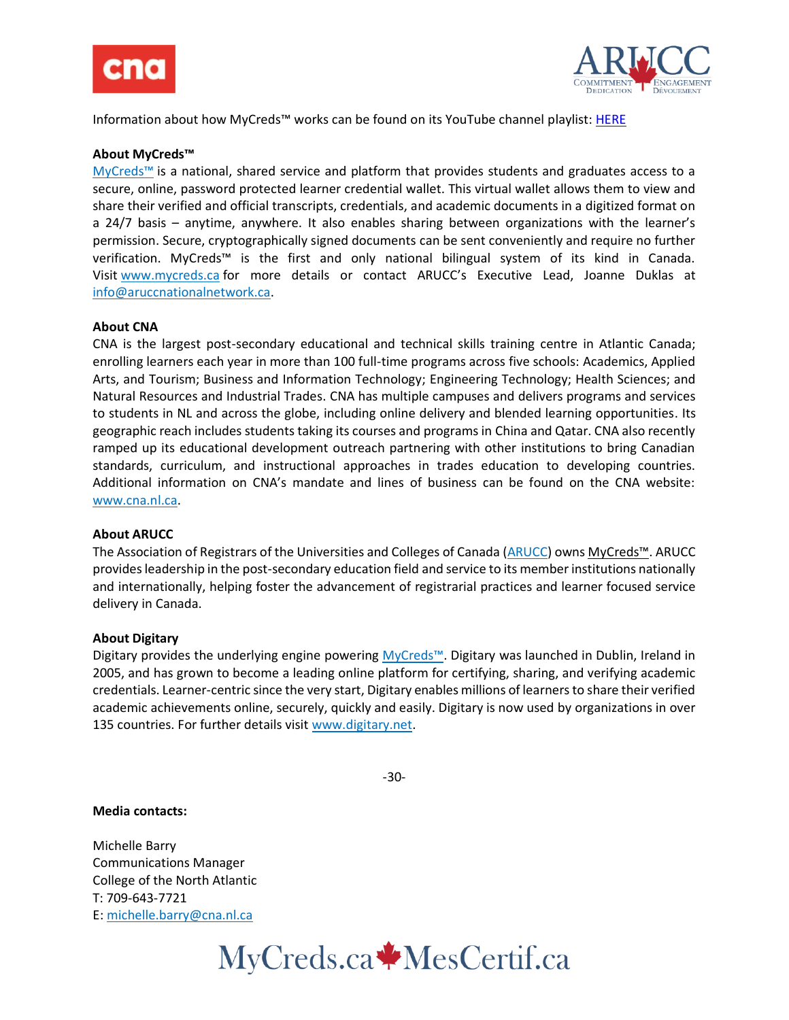



Information about how MyCreds™ works can be found on its YouTube channel playlist: [HERE](https://www.youtube.com/playlist?list=PLA2Sw6XbX8RnzCchd4nje3FGm3QvAIRDr)

## **About MyCreds™**

[MyCreds™](https://mycreds.ca/) is a national, shared service and platform that provides students and graduates access to a secure, online, password protected learner credential wallet. This virtual wallet allows them to view and share their verified and official transcripts, credentials, and academic documents in a digitized format on a 24/7 basis – anytime, anywhere. It also enables sharing between organizations with the learner's permission. Secure, cryptographically signed documents can be sent conveniently and require no further verification. MyCreds™ is the first and only national bilingual system of its kind in Canada. Visit [www.mycreds.ca](http://www.mycreds.ca/) for more details or contact ARUCC's Executive Lead, Joanne Duklas at [info@aruccnationalnetwork.ca.](mailto:info@aruccnationalnetwork.ca)

## **About CNA**

CNA is the largest post-secondary educational and technical skills training centre in Atlantic Canada; enrolling learners each year in more than 100 full-time programs across five schools: Academics, Applied Arts, and Tourism; Business and Information Technology; Engineering Technology; Health Sciences; and Natural Resources and Industrial Trades. CNA has multiple campuses and delivers programs and services to students in NL and across the globe, including online delivery and blended learning opportunities. Its geographic reach includes students taking its courses and programs in China and Qatar. CNA also recently ramped up its educational development outreach partnering with other institutions to bring Canadian standards, curriculum, and instructional approaches in trades education to developing countries. Additional information on CNA's mandate and lines of business can be found on the CNA website: [www.cna.nl.ca.](https://can01.safelinks.protection.outlook.com/?url=http%3A%2F%2Fwww.cna.nl.ca%2F&data=04%7C01%7Cmichelle.barry%40cna.nl.ca%7C55073d75bcf74606ac4308d9416ccca2%7C792b0985c850489097c68dad46b10267%7C0%7C0%7C637612757808196597%7CUnknown%7CTWFpbGZsb3d8eyJWIjoiMC4wLjAwMDAiLCJQIjoiV2luMzIiLCJBTiI6Ik1haWwiLCJXVCI6Mn0%3D%7C1000&sdata=QJW4PUfZwfMMEYgmGgz6BxKrW2oAyzOlxKXdK%2Bfel4k%3D&reserved=0)

## **About ARUCC**

The Association of Registrars of the Universities and Colleges of Canada [\(ARUCC\)](https://arucc.ca/en/) owns [MyCreds™](https://mycreds.ca/). ARUCC provides leadership in the post-secondary education field and service to its member institutions nationally and internationally, helping foster the advancement of registrarial practices and learner focused service delivery in Canada.

## **About Digitary**

Digitary provides the underlying engine powering [MyCreds™](https://mycreds.ca/). Digitary was launched in Dublin, Ireland in 2005, and has grown to become a leading online platform for certifying, sharing, and verifying academic credentials. Learner-centric since the very start, Digitary enables millions of learners to share their verified academic achievements online, securely, quickly and easily. Digitary is now used by organizations in over 135 countries. For further details visit [www.digitary.net.](http://www.digitary.net/)

-30-

## **Media contacts:**

Michelle Barry Communications Manager College of the North Atlantic T: 709-643-7721 E: [michelle.barry@cna.nl.ca](mailto:michelle.barry@cna.nl.ca)